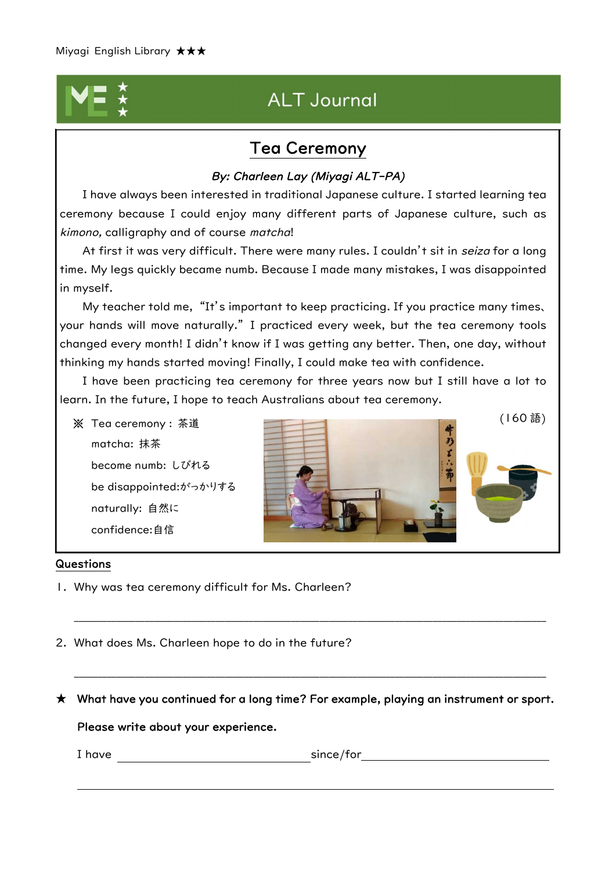# **ALT Journal**

## Tea Ceremony

### By: Charleen Lay (Miyagi ALT-PA)

I have always been interested in traditional Japanese culture. I started learning tea ceremony because I could enjoy many different parts of Japanese culture, such as kimono, calligraphy and of course matcha!

At first it was very difficult. There were many rules. I couldn't sit in seiza for a long time. My legs quickly became numb. Because I made many mistakes, I was disappointed in myself.

My teacher told me, "It's important to keep practicing. If you practice many times、 your hands will move naturally." I practiced every week, but the tea ceremony tools changed every month! I didn't know if I was getting any better. Then, one day, without thinking my hands started moving! Finally, I could make tea with confidence.

I have been practicing tea ceremony for three years now but I still have a lot to learn. In the future, I hope to teach Australians about tea ceremony.

matcha: 抹茶 become numb: しびれる be disappointed:がっかりする naturally: 自然に confidence:自信



#### Questions

- 1. Why was tea ceremony difficult for Ms. Charleen?
- 2. What does Ms. Charleen hope to do in the future?

 $\star$  What have you continued for a long time? For example, playing an instrument or sport.

\_\_\_\_\_\_\_\_\_\_\_\_\_\_\_\_\_\_\_\_\_\_\_\_\_\_\_\_\_\_\_\_\_\_\_\_\_\_\_\_\_\_\_\_\_\_\_\_\_\_\_\_\_\_\_\_\_\_\_\_\_\_\_\_\_\_\_\_\_\_\_\_\_\_\_\_\_\_\_\_\_\_\_\_\_\_\_\_\_\_\_\_\_\_\_\_\_\_\_\_

\_\_\_\_\_\_\_\_\_\_\_\_\_\_\_\_\_\_\_\_\_\_\_\_\_\_\_\_\_\_\_\_\_\_\_\_\_\_\_\_\_\_\_\_\_\_\_\_\_\_\_\_\_\_\_\_\_\_\_\_\_\_\_\_\_\_\_\_\_\_\_\_\_\_\_\_\_\_\_\_\_\_\_\_\_\_\_\_\_\_\_\_\_\_\_\_\_\_\_\_

Please write about your experience.

I have since/for